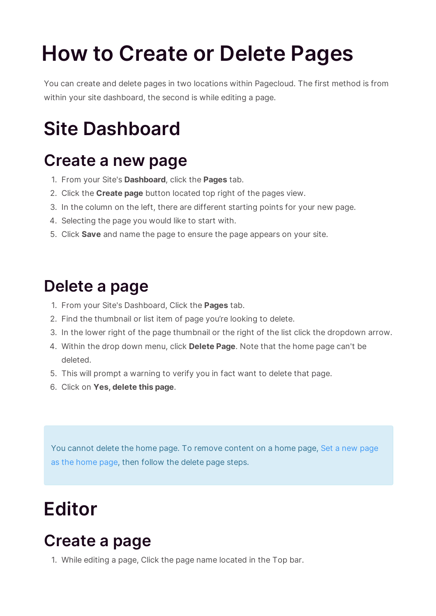# **How to Create or Delete Pages**

You can create and delete pages in two locations within Pagecloud. The first method is from within your site dashboard, the second is while editing a page.

## **Site Dashboard**

#### **Create a new page**

- 1. From your Site's **Dashboard**, click the **Pages** tab.
- 2. Click the **Create page** button located top right of the pages view.
- 3. In the column on the left, there are different starting points for your new page.
- 4. Selecting the page you would like to start with.
- 5. Click **Save** and name the page to ensure the page appears on your site.

#### **Delete a page**

- 1. From your Site's Dashboard, Click the **Pages** tab.
- 2. Find the thumbnail or list item of page you're looking to delete.
- 3. In the lower right of the page thumbnail or the right of the list click the dropdown arrow.
- 4. Within the drop down menu, click **Delete Page**. Note that the home page can't be deleted.
- 5. This will prompt a warning to verify you in fact want to delete that page.
- 6. Click on **Yes, delete this page**.

You cannot delete the home page. To remove content on a home page, Set a new page as the home page, then follow the delete page steps.

### **Editor**

#### **Create a page**

1. While editing a page, Click the page name located in the Top bar.